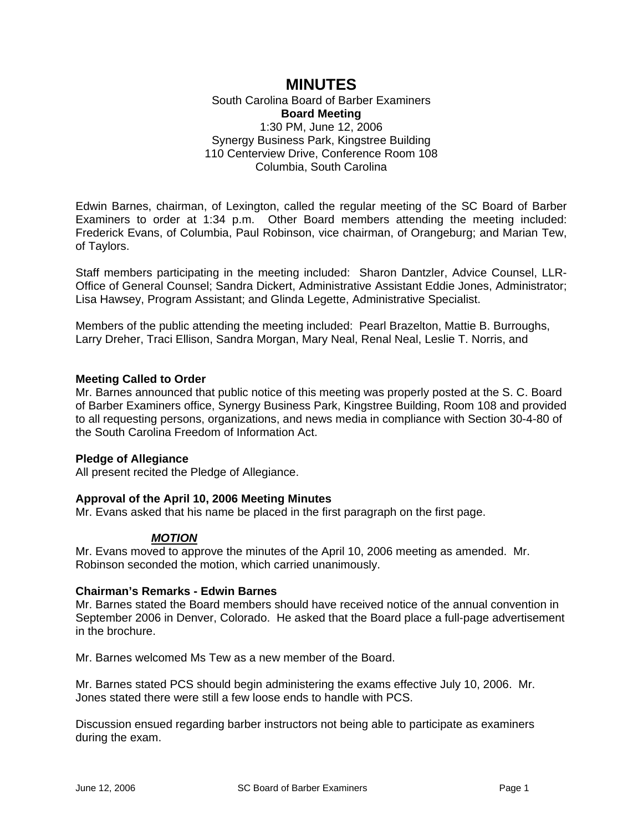# **MINUTES**

South Carolina Board of Barber Examiners **Board Meeting**  1:30 PM, June 12, 2006 Synergy Business Park, Kingstree Building 110 Centerview Drive, Conference Room 108 Columbia, South Carolina

Edwin Barnes, chairman, of Lexington, called the regular meeting of the SC Board of Barber Examiners to order at 1:34 p.m. Other Board members attending the meeting included: Frederick Evans, of Columbia, Paul Robinson, vice chairman, of Orangeburg; and Marian Tew, of Taylors.

Staff members participating in the meeting included: Sharon Dantzler, Advice Counsel, LLR-Office of General Counsel; Sandra Dickert, Administrative Assistant Eddie Jones, Administrator; Lisa Hawsey, Program Assistant; and Glinda Legette, Administrative Specialist.

Members of the public attending the meeting included: Pearl Brazelton, Mattie B. Burroughs, Larry Dreher, Traci Ellison, Sandra Morgan, Mary Neal, Renal Neal, Leslie T. Norris, and

# **Meeting Called to Order**

Mr. Barnes announced that public notice of this meeting was properly posted at the S. C. Board of Barber Examiners office, Synergy Business Park, Kingstree Building, Room 108 and provided to all requesting persons, organizations, and news media in compliance with Section 30-4-80 of the South Carolina Freedom of Information Act.

# **Pledge of Allegiance**

All present recited the Pledge of Allegiance.

# **Approval of the April 10, 2006 Meeting Minutes**

Mr. Evans asked that his name be placed in the first paragraph on the first page.

#### *MOTION*

Mr. Evans moved to approve the minutes of the April 10, 2006 meeting as amended. Mr. Robinson seconded the motion, which carried unanimously.

#### **Chairman's Remarks - Edwin Barnes**

Mr. Barnes stated the Board members should have received notice of the annual convention in September 2006 in Denver, Colorado. He asked that the Board place a full-page advertisement in the brochure.

Mr. Barnes welcomed Ms Tew as a new member of the Board.

Mr. Barnes stated PCS should begin administering the exams effective July 10, 2006. Mr. Jones stated there were still a few loose ends to handle with PCS.

Discussion ensued regarding barber instructors not being able to participate as examiners during the exam.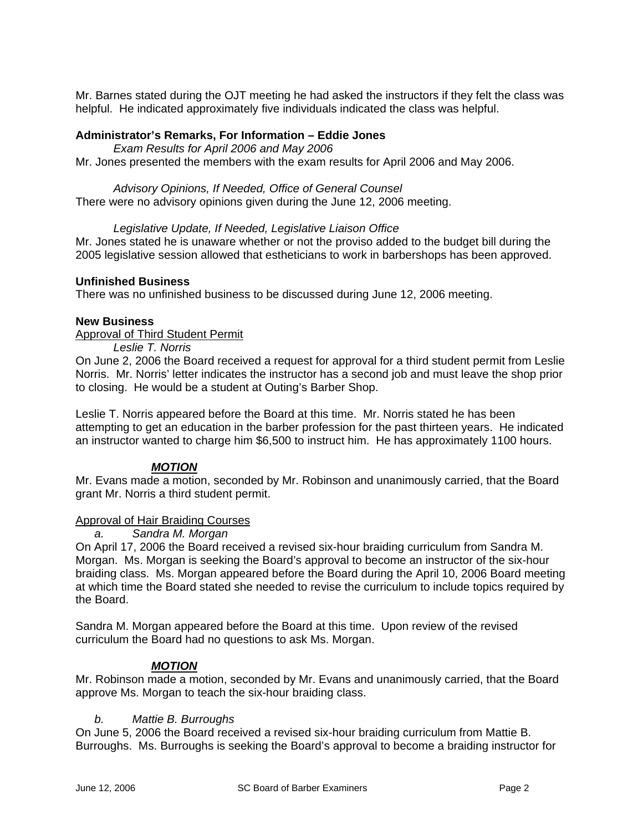Mr. Barnes stated during the OJT meeting he had asked the instructors if they felt the class was helpful. He indicated approximately five individuals indicated the class was helpful.

## **Administrator's Remarks, For Information – Eddie Jones**

*Exam Results for April 2006 and May 2006*

Mr. Jones presented the members with the exam results for April 2006 and May 2006.

#### *Advisory Opinions, If Needed, Office of General Counsel*

There were no advisory opinions given during the June 12, 2006 meeting.

## *Legislative Update, If Needed, Legislative Liaison Office*

Mr. Jones stated he is unaware whether or not the proviso added to the budget bill during the 2005 legislative session allowed that estheticians to work in barbershops has been approved.

## **Unfinished Business**

There was no unfinished business to be discussed during June 12, 2006 meeting.

## **New Business**

## Approval of Third Student Permit

*Leslie T. Norris* 

On June 2, 2006 the Board received a request for approval for a third student permit from Leslie Norris. Mr. Norris' letter indicates the instructor has a second job and must leave the shop prior to closing. He would be a student at Outing's Barber Shop.

Leslie T. Norris appeared before the Board at this time. Mr. Norris stated he has been attempting to get an education in the barber profession for the past thirteen years. He indicated an instructor wanted to charge him \$6,500 to instruct him. He has approximately 1100 hours.

# *MOTION*

Mr. Evans made a motion, seconded by Mr. Robinson and unanimously carried, that the Board grant Mr. Norris a third student permit.

#### Approval of Hair Braiding Courses

*a. Sandra M. Morgan* 

On April 17, 2006 the Board received a revised six-hour braiding curriculum from Sandra M. Morgan. Ms. Morgan is seeking the Board's approval to become an instructor of the six-hour braiding class. Ms. Morgan appeared before the Board during the April 10, 2006 Board meeting at which time the Board stated she needed to revise the curriculum to include topics required by the Board.

Sandra M. Morgan appeared before the Board at this time. Upon review of the revised curriculum the Board had no questions to ask Ms. Morgan.

# *MOTION*

Mr. Robinson made a motion, seconded by Mr. Evans and unanimously carried, that the Board approve Ms. Morgan to teach the six-hour braiding class.

#### *b. Mattie B. Burroughs*

On June 5, 2006 the Board received a revised six-hour braiding curriculum from Mattie B. Burroughs. Ms. Burroughs is seeking the Board's approval to become a braiding instructor for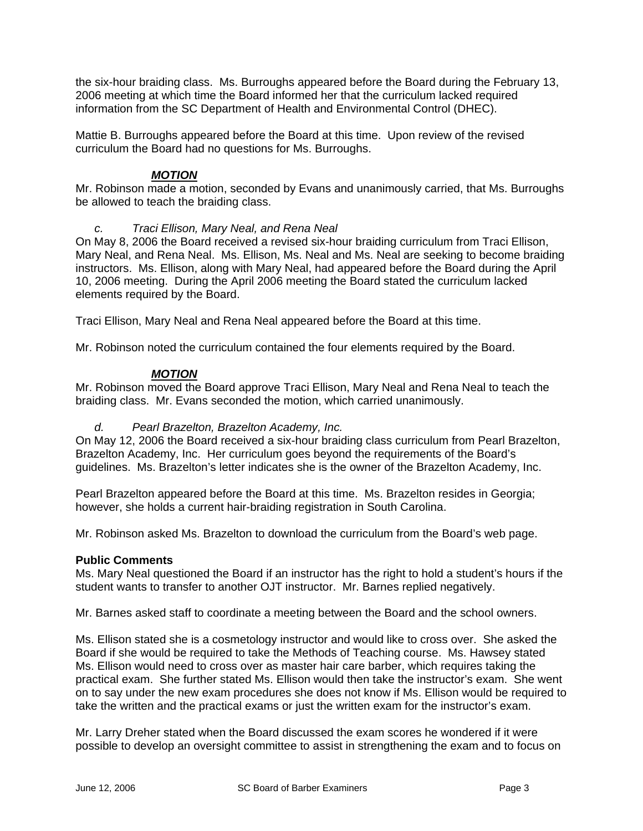the six-hour braiding class. Ms. Burroughs appeared before the Board during the February 13, 2006 meeting at which time the Board informed her that the curriculum lacked required information from the SC Department of Health and Environmental Control (DHEC).

Mattie B. Burroughs appeared before the Board at this time. Upon review of the revised curriculum the Board had no questions for Ms. Burroughs.

# *MOTION*

Mr. Robinson made a motion, seconded by Evans and unanimously carried, that Ms. Burroughs be allowed to teach the braiding class.

# *c. Traci Ellison, Mary Neal, and Rena Neal*

On May 8, 2006 the Board received a revised six-hour braiding curriculum from Traci Ellison, Mary Neal, and Rena Neal. Ms. Ellison, Ms. Neal and Ms. Neal are seeking to become braiding instructors. Ms. Ellison, along with Mary Neal, had appeared before the Board during the April 10, 2006 meeting. During the April 2006 meeting the Board stated the curriculum lacked elements required by the Board.

Traci Ellison, Mary Neal and Rena Neal appeared before the Board at this time.

Mr. Robinson noted the curriculum contained the four elements required by the Board.

# *MOTION*

Mr. Robinson moved the Board approve Traci Ellison, Mary Neal and Rena Neal to teach the braiding class. Mr. Evans seconded the motion, which carried unanimously.

# *d. Pearl Brazelton, Brazelton Academy, Inc.*

On May 12, 2006 the Board received a six-hour braiding class curriculum from Pearl Brazelton, Brazelton Academy, Inc. Her curriculum goes beyond the requirements of the Board's guidelines. Ms. Brazelton's letter indicates she is the owner of the Brazelton Academy, Inc.

Pearl Brazelton appeared before the Board at this time. Ms. Brazelton resides in Georgia; however, she holds a current hair-braiding registration in South Carolina.

Mr. Robinson asked Ms. Brazelton to download the curriculum from the Board's web page.

# **Public Comments**

Ms. Mary Neal questioned the Board if an instructor has the right to hold a student's hours if the student wants to transfer to another OJT instructor. Mr. Barnes replied negatively.

Mr. Barnes asked staff to coordinate a meeting between the Board and the school owners.

Ms. Ellison stated she is a cosmetology instructor and would like to cross over. She asked the Board if she would be required to take the Methods of Teaching course. Ms. Hawsey stated Ms. Ellison would need to cross over as master hair care barber, which requires taking the practical exam. She further stated Ms. Ellison would then take the instructor's exam. She went on to say under the new exam procedures she does not know if Ms. Ellison would be required to take the written and the practical exams or just the written exam for the instructor's exam.

Mr. Larry Dreher stated when the Board discussed the exam scores he wondered if it were possible to develop an oversight committee to assist in strengthening the exam and to focus on